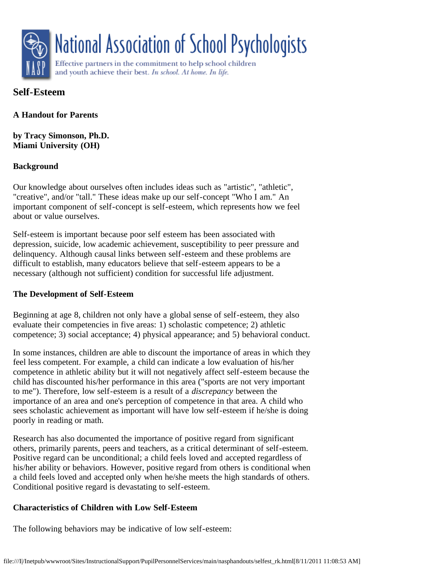

# **Self-Esteem**

**A Handout for Parents**

**by Tracy Simonson, Ph.D. Miami University (OH)**

## **Background**

Our knowledge about ourselves often includes ideas such as "artistic", "athletic", "creative", and/or "tall." These ideas make up our self-concept "Who I am." An important component of self-concept is self-esteem, which represents how we feel about or value ourselves.

Self-esteem is important because poor self esteem has been associated with depression, suicide, low academic achievement, susceptibility to peer pressure and delinquency. Although causal links between self-esteem and these problems are difficult to establish, many educators believe that self-esteem appears to be a necessary (although not sufficient) condition for successful life adjustment.

### **The Development of Self-Esteem**

Beginning at age 8, children not only have a global sense of self-esteem, they also evaluate their competencies in five areas: 1) scholastic competence; 2) athletic competence; 3) social acceptance; 4) physical appearance; and 5) behavioral conduct.

In some instances, children are able to discount the importance of areas in which they feel less competent. For example, a child can indicate a low evaluation of his/her competence in athletic ability but it will not negatively affect self-esteem because the child has discounted his/her performance in this area ("sports are not very important to me"). Therefore, low self-esteem is a result of a *discrepancy* between the importance of an area and one's perception of competence in that area. A child who sees scholastic achievement as important will have low self-esteem if he/she is doing poorly in reading or math.

Research has also documented the importance of positive regard from significant others, primarily parents, peers and teachers, as a critical determinant of self-esteem. Positive regard can be unconditional; a child feels loved and accepted regardless of his/her ability or behaviors. However, positive regard from others is conditional when a child feels loved and accepted only when he/she meets the high standards of others. Conditional positive regard is devastating to self-esteem.

# **Characteristics of Children with Low Self-Esteem**

The following behaviors may be indicative of low self-esteem: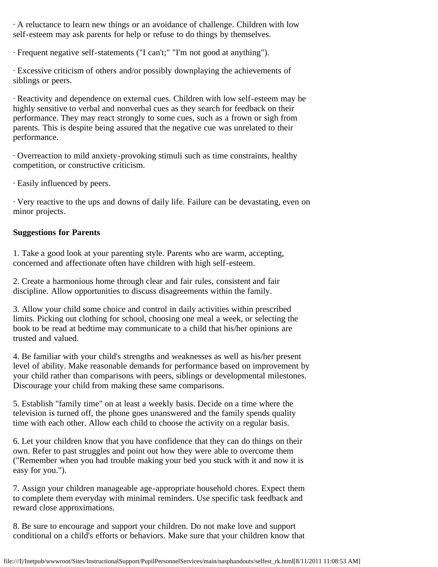· A reluctance to learn new things or an avoidance of challenge. Children with low self-esteem may ask parents for help or refuse to do things by themselves.

· Frequent negative self-statements ("I can't;" "I'm not good at anything").

· Excessive criticism of others and/or possibly downplaying the achievements of siblings or peers.

· Reactivity and dependence on external cues. Children with low self-esteem may be highly sensitive to verbal and nonverbal cues as they search for feedback on their performance. They may react strongly to some cues, such as a frown or sigh from parents. This is despite being assured that the negative cue was unrelated to their performance.

· Overreaction to mild anxiety-provoking stimuli such as time constraints, healthy competition, or constructive criticism.

· Easily influenced by peers.

· Very reactive to the ups and downs of daily life. Failure can be devastating, even on minor projects.

#### **Suggestions for Parents**

1. Take a good look at your parenting style. Parents who are warm, accepting, concerned and affectionate often have children with high self-esteem.

2. Create a harmonious home through clear and fair rules, consistent and fair discipline. Allow opportunities to discuss disagreements within the family.

3. Allow your child some choice and control in daily activities within prescribed limits. Picking out clothing for school, choosing one meal a week, or selecting the book to be read at bedtime may communicate to a child that his/her opinions are trusted and valued.

4. Be familiar with your child's strengths and weaknesses as well as his/her present level of ability. Make reasonable demands for performance based on improvement by your child rather than comparisons with peers, siblings or developmental milestones. Discourage your child from making these same comparisons.

5. Establish "family time" on at least a weekly basis. Decide on a time where the television is turned off, the phone goes unanswered and the family spends quality time with each other. Allow each child to choose the activity on a regular basis.

6. Let your children know that you have confidence that they can do things on their own. Refer to past struggles and point out how they were able to overcome them ("Remember when you had trouble making your bed you stuck with it and now it is easy for you.").

7. Assign your children manageable age-appropriate household chores. Expect them to complete them everyday with minimal reminders. Use specific task feedback and reward close approximations.

8. Be sure to encourage and support your children. Do not make love and support conditional on a child's efforts or behaviors. Make sure that your children know that